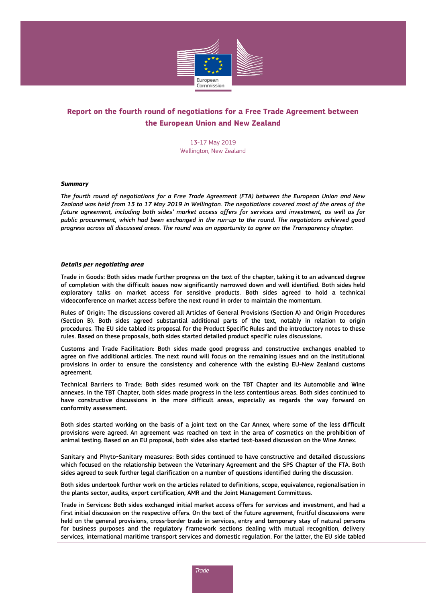

## **Report on the fourth round of negotiations for a Free Trade Agreement between the European Union and New Zealand**

13-17 May 2019 Wellington, New Zealand

## *Summary*

*The fourth round of negotiations for a Free Trade Agreement (FTA) between the European Union and New Zealand was held from 13 to 17 May 2019 in Wellington. The negotiations covered most of the areas of the future agreement, including both sides' market access offers for services and investment, as well as for public procurement, which had been exchanged in the run-up to the round. The negotiators achieved good progress across all discussed areas. The round was an opportunity to agree on the Transparency chapter.*

## *Details per negotiating area*

Trade in Goods: Both sides made further progress on the text of the chapter, taking it to an advanced degree of completion with the difficult issues now significantly narrowed down and well identified. Both sides held exploratory talks on market access for sensitive products. Both sides agreed to hold a technical videoconference on market access before the next round in order to maintain the momentum.

Rules of Origin: The discussions covered all Articles of General Provisions (Section A) and Origin Procedures (Section B). Both sides agreed substantial additional parts of the text, notably in relation to origin procedures. The EU side tabled its proposal for the Product Specific Rules and the introductory notes to these rules. Based on these proposals, both sides started detailed product specific rules discussions.

Customs and Trade Facilitation: Both sides made good progress and constructive exchanges enabled to agree on five additional articles. The next round will focus on the remaining issues and on the institutional provisions in order to ensure the consistency and coherence with the existing EU-New Zealand customs agreement.

Technical Barriers to Trade: Both sides resumed work on the TBT Chapter and its Automobile and Wine annexes. In the TBT Chapter, both sides made progress in the less contentious areas. Both sides continued to have constructive discussions in the more difficult areas, especially as regards the way forward on conformity assessment.

Both sides started working on the basis of a joint text on the Car Annex, where some of the less difficult provisions were agreed. An agreement was reached on text in the area of cosmetics on the prohibition of animal testing. Based on an EU proposal, both sides also started text-based discussion on the Wine Annex.

Sanitary and Phyto-Sanitary measures: Both sides continued to have constructive and detailed discussions which focused on the relationship between the Veterinary Agreement and the SPS Chapter of the FTA. Both sides agreed to seek further legal clarification on a number of questions identified during the discussion.

Both sides undertook further work on the articles related to definitions, scope, equivalence, regionalisation in the plants sector, audits, export certification, AMR and the Joint Management Committees.

Trade in Services: Both sides exchanged initial market access offers for services and investment, and had a first initial discussion on the respective offers. On the text of the future agreement, fruitful discussions were held on the general provisions, cross-border trade in services, entry and temporary stay of natural persons for business purposes and the regulatory framework sections dealing with mutual recognition, delivery services, international maritime transport services and domestic regulation. For the latter, the EU side tabled